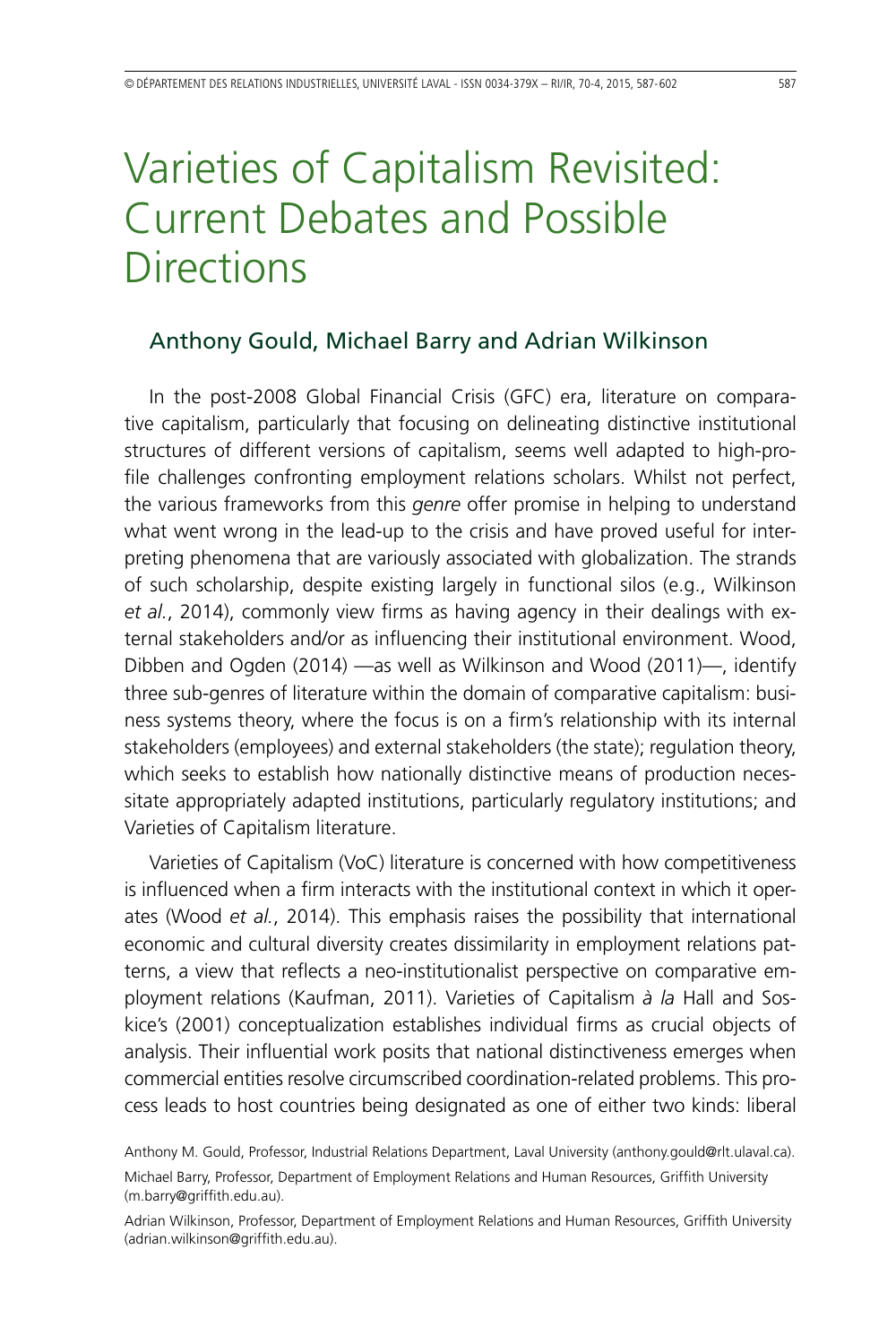# Varieties of Capitalism Revisited: Current Debates and Possible **Directions**

## Anthony Gould, Michael Barry and Adrian Wilkinson

In the post-2008 Global Financial Crisis (GFC) era, literature on comparative capitalism, particularly that focusing on delineating distinctive institutional structures of different versions of capitalism, seems well adapted to high-profile challenges confronting employment relations scholars. Whilst not perfect, the various frameworks from this *genre* offer promise in helping to understand what went wrong in the lead-up to the crisis and have proved useful for interpreting phenomena that are variously associated with globalization. The strands of such scholarship, despite existing largely in functional silos (e.g., Wilkinson *et al.*, 2014), commonly view firms as having agency in their dealings with external stakeholders and/or as influencing their institutional environment. Wood, Dibben and Ogden (2014) —as well as Wilkinson and Wood (2011)—, identify three sub-genres of literature within the domain of comparative capitalism: business systems theory, where the focus is on a firm's relationship with its internal stakeholders (employees) and external stakeholders (the state); regulation theory, which seeks to establish how nationally distinctive means of production necessitate appropriately adapted institutions, particularly regulatory institutions; and Varieties of Capitalism literature.

Varieties of Capitalism (VoC) literature is concerned with how competitiveness is influenced when a firm interacts with the institutional context in which it operates (Wood *et al.*, 2014). This emphasis raises the possibility that international economic and cultural diversity creates dissimilarity in employment relations patterns, a view that reflects a neo-institutionalist perspective on comparative employment relations (Kaufman, 2011). Varieties of Capitalism *à la* Hall and Soskice's (2001) conceptualization establishes individual firms as crucial objects of analysis. Their influential work posits that national distinctiveness emerges when commercial entities resolve circumscribed coordination-related problems. This process leads to host countries being designated as one of either two kinds: liberal

Anthony M. Gould, Professor, Industrial Relations Department, Laval University (anthony.gould@rlt.ulaval.ca). Michael Barry, Professor, Department of Employment Relations and Human Resources, Griffith University (m.barry@griffith.edu.au).

Adrian Wilkinson, Professor, Department of Employment Relations and Human Resources, Griffith University (adrian.wilkinson@griffith.edu.au).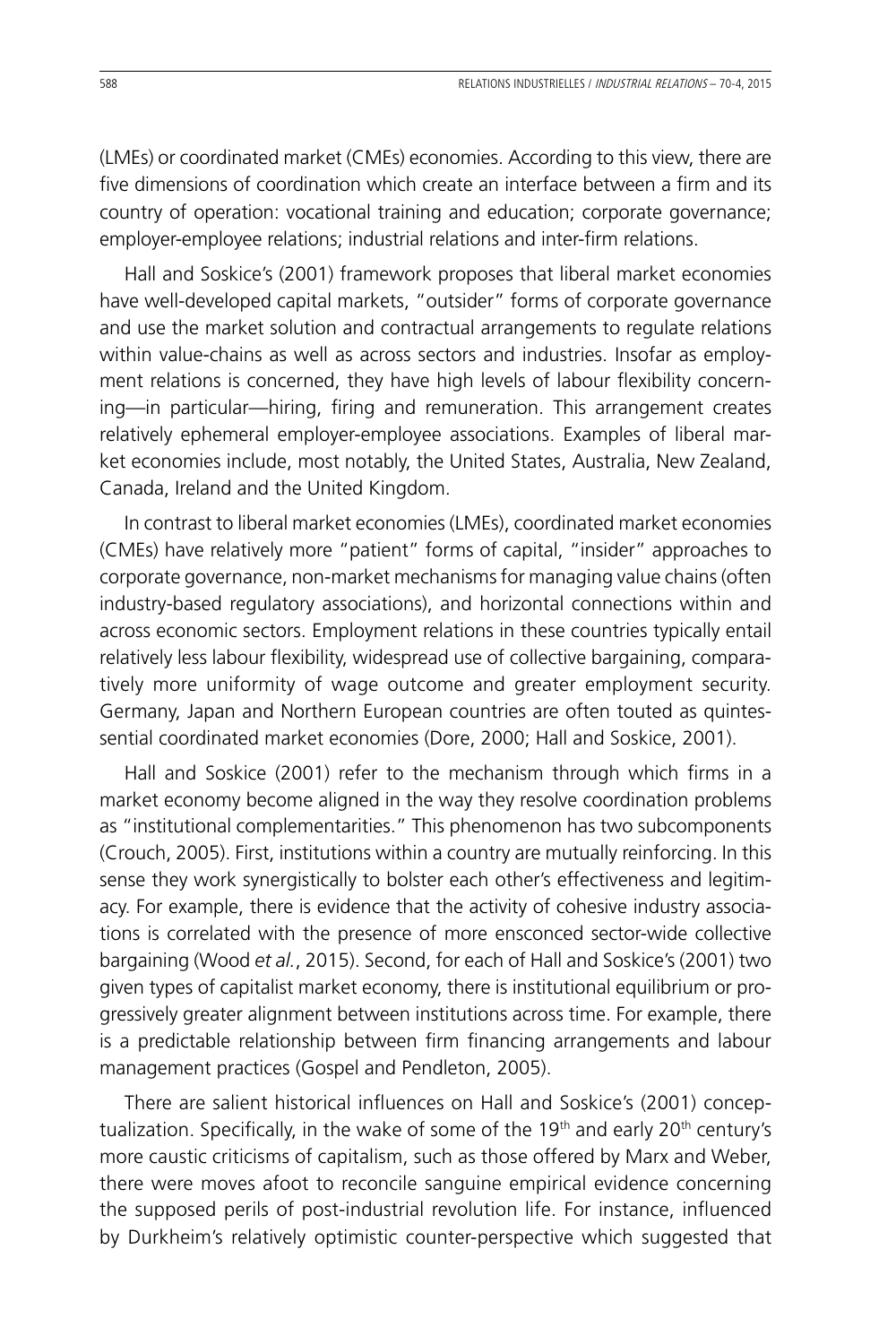(LMEs) or coordinated market (CMEs) economies. According to this view, there are five dimensions of coordination which create an interface between a firm and its country of operation: vocational training and education; corporate governance; employer-employee relations; industrial relations and inter-firm relations.

Hall and Soskice's (2001) framework proposes that liberal market economies have well-developed capital markets, "outsider" forms of corporate governance and use the market solution and contractual arrangements to regulate relations within value-chains as well as across sectors and industries. Insofar as employment relations is concerned, they have high levels of labour flexibility concerning—in particular—hiring, firing and remuneration. This arrangement creates relatively ephemeral employer-employee associations. Examples of liberal market economies include, most notably, the United States, Australia, New Zealand, Canada, Ireland and the United Kingdom.

In contrast to liberal market economies (LMEs), coordinated market economies (CMEs) have relatively more "patient" forms of capital, "insider" approaches to corporate governance, non-market mechanisms for managing value chains (often industry-based regulatory associations), and horizontal connections within and across economic sectors. Employment relations in these countries typically entail relatively less labour flexibility, widespread use of collective bargaining, comparatively more uniformity of wage outcome and greater employment security. Germany, Japan and Northern European countries are often touted as quintessential coordinated market economies (Dore, 2000; Hall and Soskice, 2001).

Hall and Soskice (2001) refer to the mechanism through which firms in a market economy become aligned in the way they resolve coordination problems as "institutional complementarities." This phenomenon has two subcomponents (Crouch, 2005). First, institutions within a country are mutually reinforcing. In this sense they work synergistically to bolster each other's effectiveness and legitimacy. For example, there is evidence that the activity of cohesive industry associations is correlated with the presence of more ensconced sector-wide collective bargaining (Wood *et al.*, 2015). Second, for each of Hall and Soskice's (2001) two given types of capitalist market economy, there is institutional equilibrium or progressively greater alignment between institutions across time. For example, there is a predictable relationship between firm financing arrangements and labour management practices (Gospel and Pendleton, 2005).

There are salient historical influences on Hall and Soskice's (2001) conceptualization. Specifically, in the wake of some of the 19<sup>th</sup> and early 20<sup>th</sup> century's more caustic criticisms of capitalism, such as those offered by Marx and Weber, there were moves afoot to reconcile sanguine empirical evidence concerning the supposed perils of post-industrial revolution life. For instance, influenced by Durkheim's relatively optimistic counter-perspective which suggested that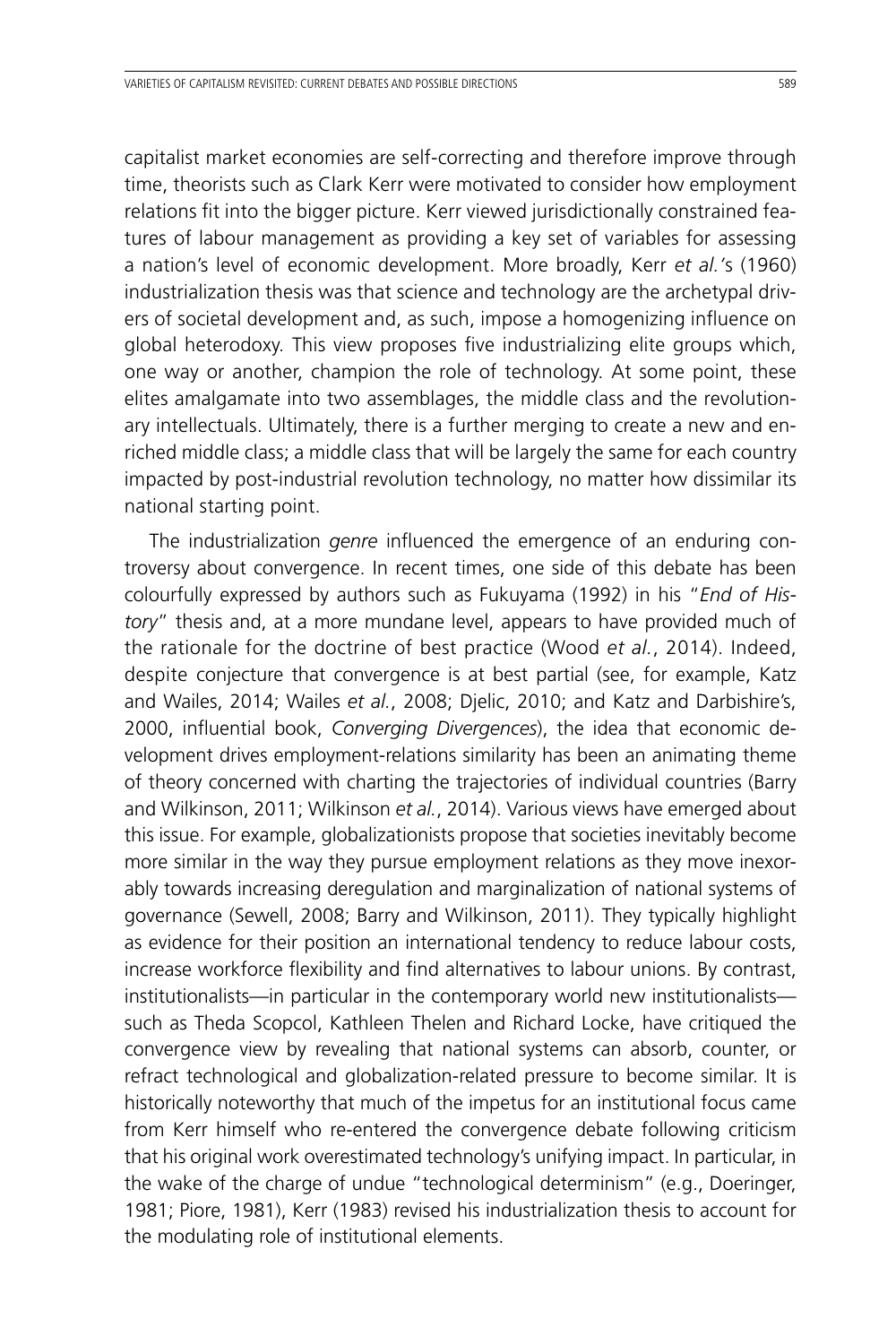capitalist market economies are self-correcting and therefore improve through time, theorists such as Clark Kerr were motivated to consider how employment relations fit into the bigger picture. Kerr viewed jurisdictionally constrained features of labour management as providing a key set of variables for assessing a nation's level of economic development. More broadly, Kerr *et al.'*s (1960) industrialization thesis was that science and technology are the archetypal drivers of societal development and, as such, impose a homogenizing influence on global heterodoxy. This view proposes five industrializing elite groups which, one way or another, champion the role of technology. At some point, these elites amalgamate into two assemblages, the middle class and the revolutionary intellectuals. Ultimately, there is a further merging to create a new and enriched middle class; a middle class that will be largely the same for each country impacted by post-industrial revolution technology, no matter how dissimilar its national starting point.

The industrialization *genre* influenced the emergence of an enduring controversy about convergence. In recent times, one side of this debate has been colourfully expressed by authors such as Fukuyama (1992) in his "*End of History*" thesis and, at a more mundane level, appears to have provided much of the rationale for the doctrine of best practice (Wood *et al.*, 2014). Indeed, despite conjecture that convergence is at best partial (see, for example, Katz and Wailes, 2014; Wailes *et al.*, 2008; Djelic, 2010; and Katz and Darbishire's, 2000, influential book, *Converging Divergences*), the idea that economic development drives employment-relations similarity has been an animating theme of theory concerned with charting the trajectories of individual countries (Barry and Wilkinson, 2011; Wilkinson *et al.*, 2014). Various views have emerged about this issue. For example, globalizationists propose that societies inevitably become more similar in the way they pursue employment relations as they move inexorably towards increasing deregulation and marginalization of national systems of governance (Sewell, 2008; Barry and Wilkinson, 2011). They typically highlight as evidence for their position an international tendency to reduce labour costs, increase workforce flexibility and find alternatives to labour unions. By contrast, institutionalists—in particular in the contemporary world new institutionalists such as Theda Scopcol, Kathleen Thelen and Richard Locke, have critiqued the convergence view by revealing that national systems can absorb, counter, or refract technological and globalization-related pressure to become similar. It is historically noteworthy that much of the impetus for an institutional focus came from Kerr himself who re-entered the convergence debate following criticism that his original work overestimated technology's unifying impact. In particular, in the wake of the charge of undue "technological determinism" (e.g., Doeringer, 1981; Piore, 1981), Kerr (1983) revised his industrialization thesis to account for the modulating role of institutional elements.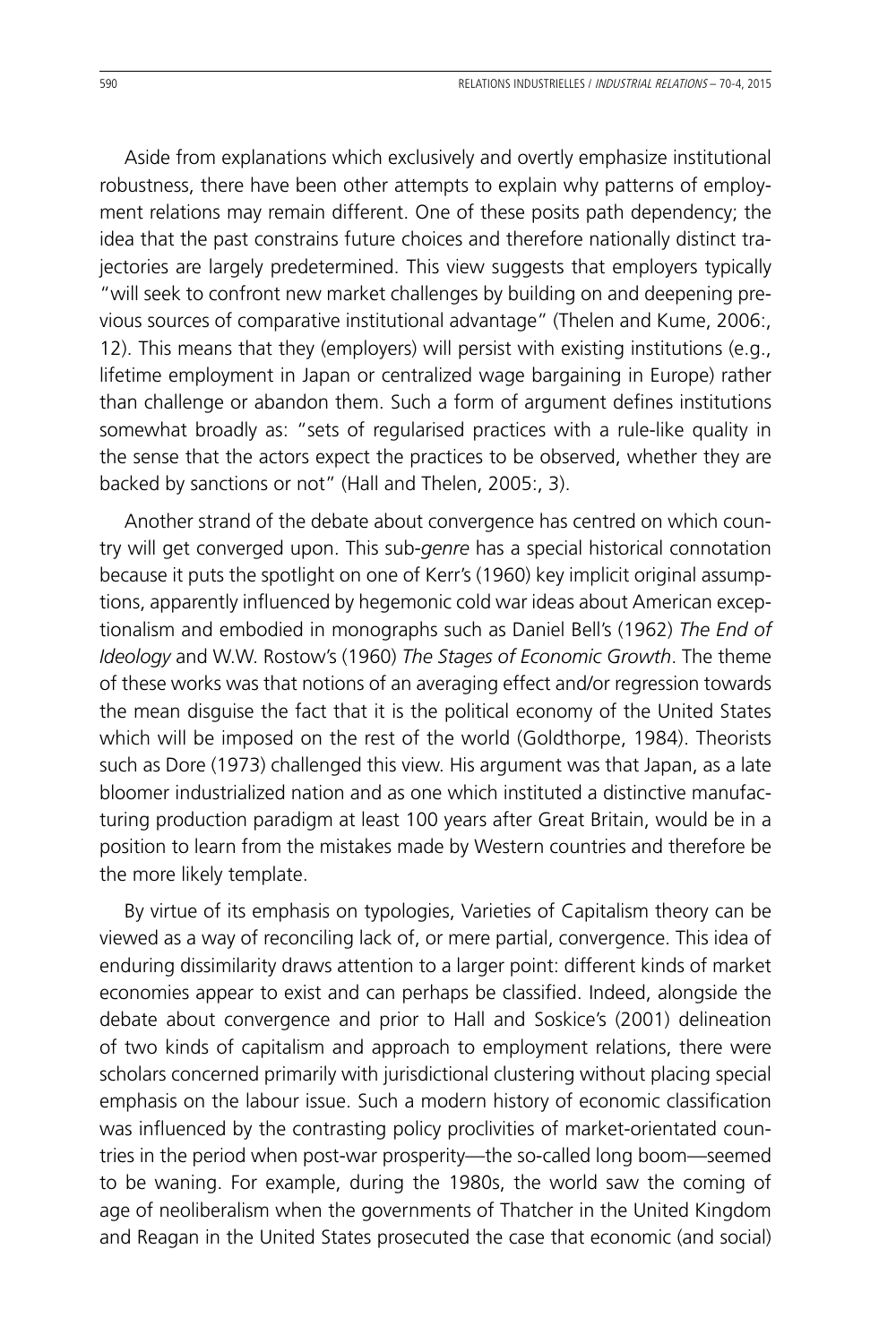Aside from explanations which exclusively and overtly emphasize institutional robustness, there have been other attempts to explain why patterns of employment relations may remain different. One of these posits path dependency; the idea that the past constrains future choices and therefore nationally distinct trajectories are largely predetermined. This view suggests that employers typically "will seek to confront new market challenges by building on and deepening previous sources of comparative institutional advantage" (Thelen and Kume, 2006:, 12). This means that they (employers) will persist with existing institutions (e.g., lifetime employment in Japan or centralized wage bargaining in Europe) rather than challenge or abandon them. Such a form of argument defines institutions somewhat broadly as: "sets of regularised practices with a rule-like quality in the sense that the actors expect the practices to be observed, whether they are backed by sanctions or not" (Hall and Thelen, 2005:, 3).

Another strand of the debate about convergence has centred on which country will get converged upon. This sub-*genre* has a special historical connotation because it puts the spotlight on one of Kerr's (1960) key implicit original assumptions, apparently influenced by hegemonic cold war ideas about American exceptionalism and embodied in monographs such as Daniel Bell's (1962) *The End of Ideology* and W.W. Rostow's (1960) *The Stages of Economic Growth*. The theme of these works was that notions of an averaging effect and/or regression towards the mean disguise the fact that it is the political economy of the United States which will be imposed on the rest of the world (Goldthorpe, 1984). Theorists such as Dore (1973) challenged this view. His argument was that Japan, as a late bloomer industrialized nation and as one which instituted a distinctive manufacturing production paradigm at least 100 years after Great Britain, would be in a position to learn from the mistakes made by Western countries and therefore be the more likely template.

By virtue of its emphasis on typologies, Varieties of Capitalism theory can be viewed as a way of reconciling lack of, or mere partial, convergence. This idea of enduring dissimilarity draws attention to a larger point: different kinds of market economies appear to exist and can perhaps be classified. Indeed, alongside the debate about convergence and prior to Hall and Soskice's (2001) delineation of two kinds of capitalism and approach to employment relations, there were scholars concerned primarily with jurisdictional clustering without placing special emphasis on the labour issue. Such a modern history of economic classification was influenced by the contrasting policy proclivities of market-orientated countries in the period when post-war prosperity—the so-called long boom—seemed to be waning. For example, during the 1980s, the world saw the coming of age of neoliberalism when the governments of Thatcher in the United Kingdom and Reagan in the United States prosecuted the case that economic (and social)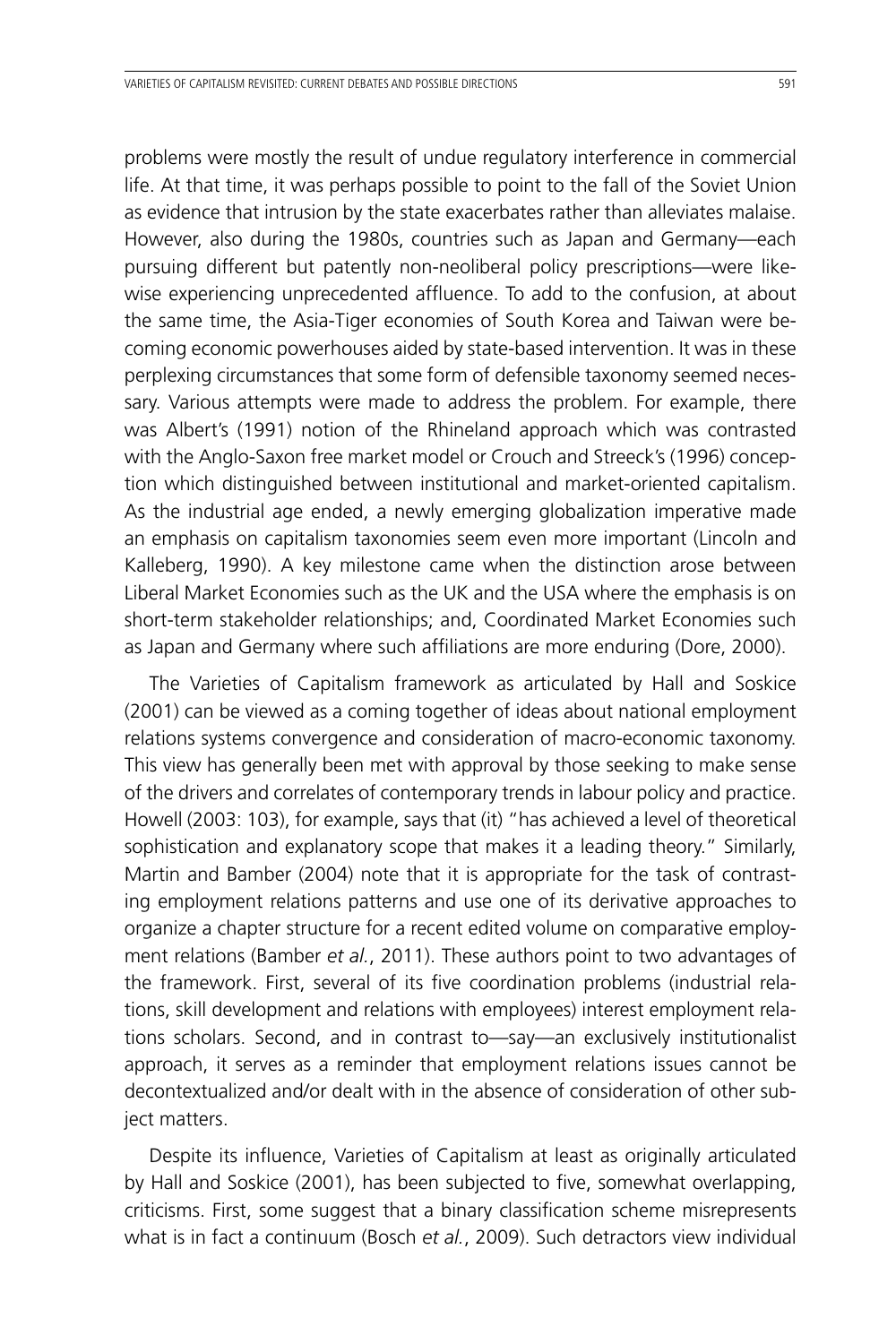problems were mostly the result of undue regulatory interference in commercial life. At that time, it was perhaps possible to point to the fall of the Soviet Union as evidence that intrusion by the state exacerbates rather than alleviates malaise. However, also during the 1980s, countries such as Japan and Germany—each pursuing different but patently non-neoliberal policy prescriptions—were likewise experiencing unprecedented affluence. To add to the confusion, at about the same time, the Asia-Tiger economies of South Korea and Taiwan were becoming economic powerhouses aided by state-based intervention. It was in these perplexing circumstances that some form of defensible taxonomy seemed necessary. Various attempts were made to address the problem. For example, there was Albert's (1991) notion of the Rhineland approach which was contrasted with the Anglo-Saxon free market model or Crouch and Streeck's (1996) conception which distinguished between institutional and market-oriented capitalism. As the industrial age ended, a newly emerging globalization imperative made an emphasis on capitalism taxonomies seem even more important (Lincoln and Kalleberg, 1990). A key milestone came when the distinction arose between Liberal Market Economies such as the UK and the USA where the emphasis is on short-term stakeholder relationships; and, Coordinated Market Economies such as Japan and Germany where such affiliations are more enduring (Dore, 2000).

The Varieties of Capitalism framework as articulated by Hall and Soskice (2001) can be viewed as a coming together of ideas about national employment relations systems convergence and consideration of macro-economic taxonomy. This view has generally been met with approval by those seeking to make sense of the drivers and correlates of contemporary trends in labour policy and practice. Howell (2003: 103), for example, says that (it) "has achieved a level of theoretical sophistication and explanatory scope that makes it a leading theory." Similarly, Martin and Bamber (2004) note that it is appropriate for the task of contrasting employment relations patterns and use one of its derivative approaches to organize a chapter structure for a recent edited volume on comparative employment relations (Bamber *et al.*, 2011). These authors point to two advantages of the framework. First, several of its five coordination problems (industrial relations, skill development and relations with employees) interest employment relations scholars. Second, and in contrast to—say—an exclusively institutionalist approach, it serves as a reminder that employment relations issues cannot be decontextualized and/or dealt with in the absence of consideration of other subject matters.

Despite its influence, Varieties of Capitalism at least as originally articulated by Hall and Soskice (2001), has been subjected to five, somewhat overlapping, criticisms. First, some suggest that a binary classification scheme misrepresents what is in fact a continuum (Bosch *et al.*, 2009). Such detractors view individual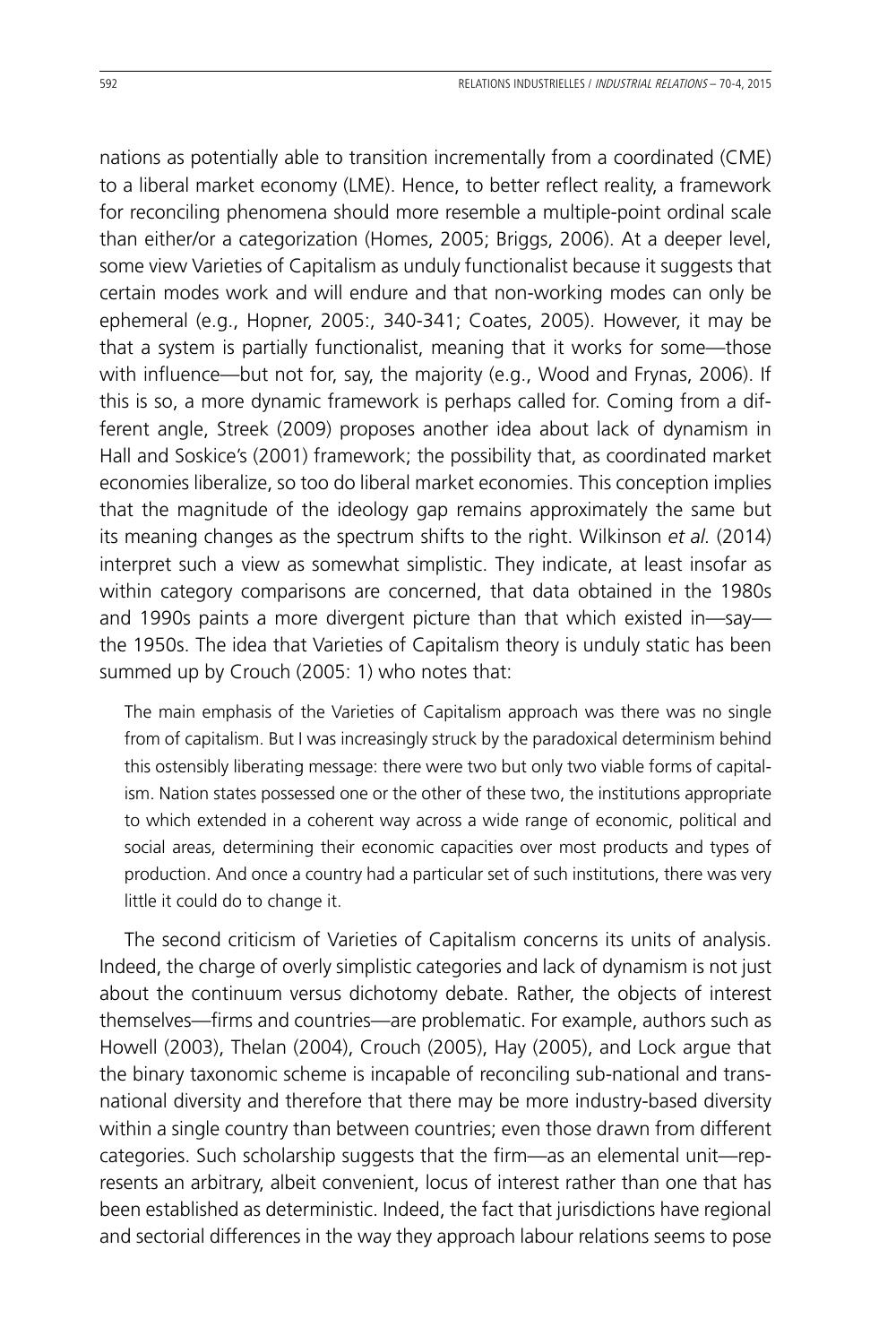nations as potentially able to transition incrementally from a coordinated (CME) to a liberal market economy (LME). Hence, to better reflect reality, a framework for reconciling phenomena should more resemble a multiple-point ordinal scale than either/or a categorization (Homes, 2005; Briggs, 2006). At a deeper level, some view Varieties of Capitalism as unduly functionalist because it suggests that certain modes work and will endure and that non-working modes can only be ephemeral (e.g., Hopner, 2005:, 340-341; Coates, 2005). However, it may be that a system is partially functionalist, meaning that it works for some—those with influence—but not for, say, the majority (e.g., Wood and Frynas, 2006). If this is so, a more dynamic framework is perhaps called for. Coming from a different angle, Streek (2009) proposes another idea about lack of dynamism in Hall and Soskice's (2001) framework; the possibility that, as coordinated market economies liberalize, so too do liberal market economies. This conception implies that the magnitude of the ideology gap remains approximately the same but its meaning changes as the spectrum shifts to the right. Wilkinson *et al.* (2014) interpret such a view as somewhat simplistic. They indicate, at least insofar as within category comparisons are concerned, that data obtained in the 1980s and 1990s paints a more divergent picture than that which existed in—say the 1950s. The idea that Varieties of Capitalism theory is unduly static has been summed up by Crouch (2005: 1) who notes that:

The main emphasis of the Varieties of Capitalism approach was there was no single from of capitalism. But I was increasingly struck by the paradoxical determinism behind this ostensibly liberating message: there were two but only two viable forms of capitalism. Nation states possessed one or the other of these two, the institutions appropriate to which extended in a coherent way across a wide range of economic, political and social areas, determining their economic capacities over most products and types of production. And once a country had a particular set of such institutions, there was very little it could do to change it.

The second criticism of Varieties of Capitalism concerns its units of analysis. Indeed, the charge of overly simplistic categories and lack of dynamism is not just about the continuum versus dichotomy debate. Rather, the objects of interest themselves—firms and countries—are problematic. For example, authors such as Howell (2003), Thelan (2004), Crouch (2005), Hay (2005), and Lock argue that the binary taxonomic scheme is incapable of reconciling sub-national and transnational diversity and therefore that there may be more industry-based diversity within a single country than between countries; even those drawn from different categories. Such scholarship suggests that the firm—as an elemental unit—represents an arbitrary, albeit convenient, locus of interest rather than one that has been established as deterministic. Indeed, the fact that jurisdictions have regional and sectorial differences in the way they approach labour relations seems to pose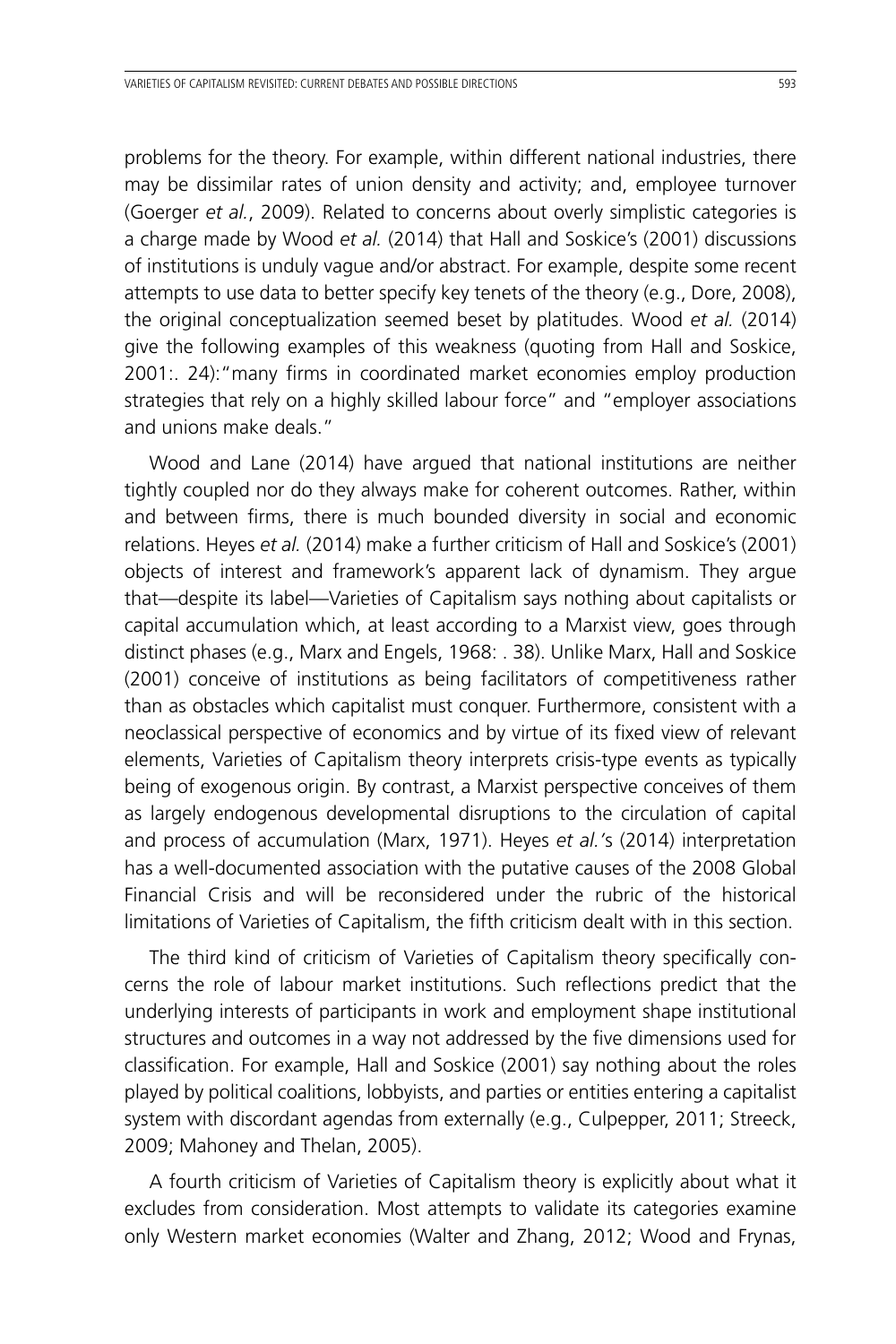problems for the theory. For example, within different national industries, there may be dissimilar rates of union density and activity; and, employee turnover (Goerger *et al.*, 2009). Related to concerns about overly simplistic categories is a charge made by Wood *et al.* (2014) that Hall and Soskice's (2001) discussions of institutions is unduly vague and/or abstract. For example, despite some recent attempts to use data to better specify key tenets of the theory (e.g., Dore, 2008), the original conceptualization seemed beset by platitudes. Wood *et al.* (2014) give the following examples of this weakness (quoting from Hall and Soskice, 2001:. 24):"many firms in coordinated market economies employ production strategies that rely on a highly skilled labour force" and "employer associations and unions make deals."

Wood and Lane (2014) have argued that national institutions are neither tightly coupled nor do they always make for coherent outcomes. Rather, within and between firms, there is much bounded diversity in social and economic relations. Heyes *et al.* (2014) make a further criticism of Hall and Soskice's (2001) objects of interest and framework's apparent lack of dynamism. They argue that—despite its label—Varieties of Capitalism says nothing about capitalists or capital accumulation which, at least according to a Marxist view, goes through distinct phases (e.g., Marx and Engels, 1968: . 38). Unlike Marx, Hall and Soskice (2001) conceive of institutions as being facilitators of competitiveness rather than as obstacles which capitalist must conquer. Furthermore, consistent with a neoclassical perspective of economics and by virtue of its fixed view of relevant elements, Varieties of Capitalism theory interprets crisis-type events as typically being of exogenous origin. By contrast, a Marxist perspective conceives of them as largely endogenous developmental disruptions to the circulation of capital and process of accumulation (Marx, 1971). Heyes *et al.'*s (2014) interpretation has a well-documented association with the putative causes of the 2008 Global Financial Crisis and will be reconsidered under the rubric of the historical limitations of Varieties of Capitalism, the fifth criticism dealt with in this section.

The third kind of criticism of Varieties of Capitalism theory specifically concerns the role of labour market institutions. Such reflections predict that the underlying interests of participants in work and employment shape institutional structures and outcomes in a way not addressed by the five dimensions used for classification. For example, Hall and Soskice (2001) say nothing about the roles played by political coalitions, lobbyists, and parties or entities entering a capitalist system with discordant agendas from externally (e.g., Culpepper, 2011; Streeck, 2009; Mahoney and Thelan, 2005).

A fourth criticism of Varieties of Capitalism theory is explicitly about what it excludes from consideration. Most attempts to validate its categories examine only Western market economies (Walter and Zhang, 2012; Wood and Frynas,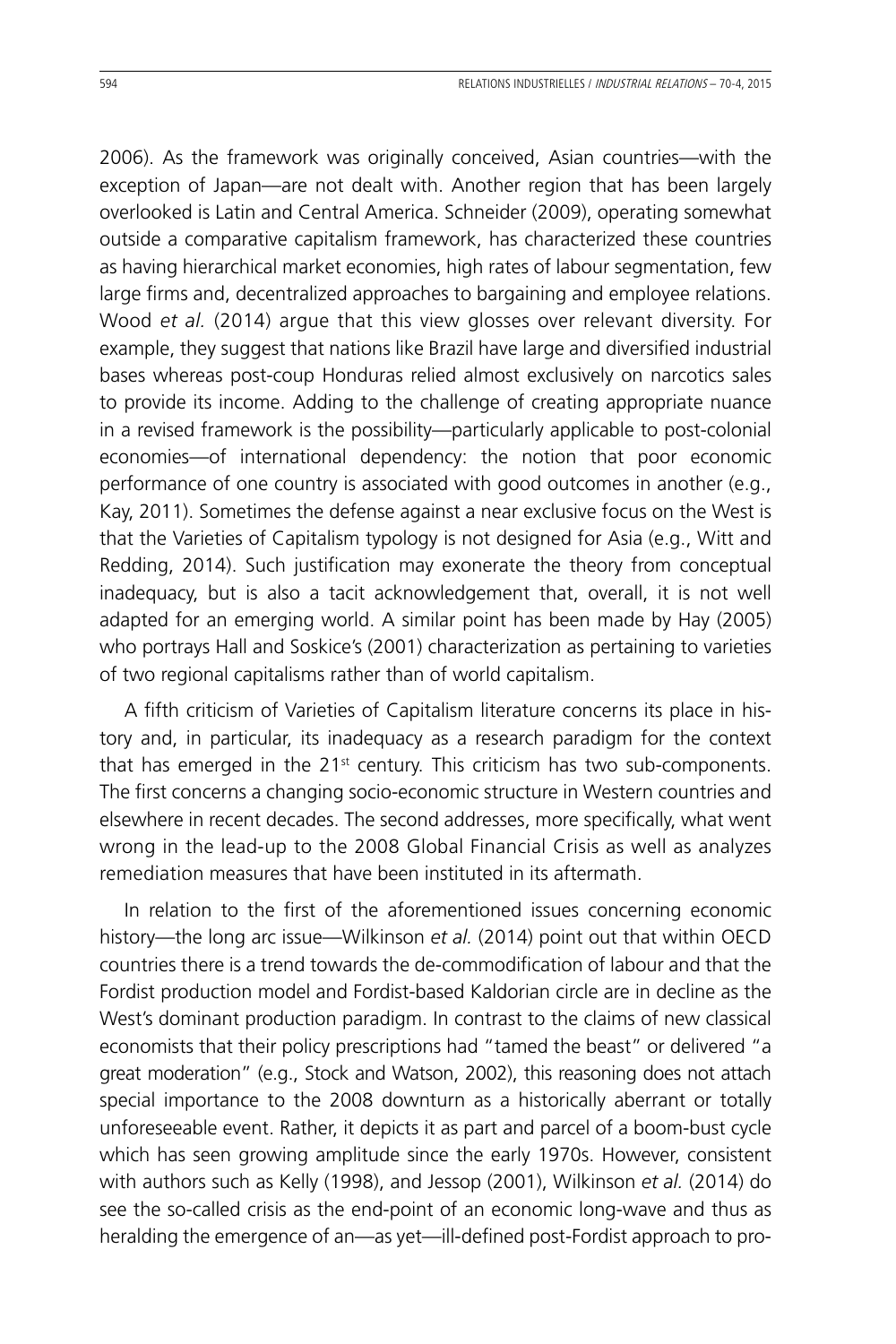2006). As the framework was originally conceived, Asian countries—with the exception of Japan—are not dealt with. Another region that has been largely overlooked is Latin and Central America. Schneider (2009), operating somewhat outside a comparative capitalism framework, has characterized these countries as having hierarchical market economies, high rates of labour segmentation, few large firms and, decentralized approaches to bargaining and employee relations. Wood *et al.* (2014) argue that this view glosses over relevant diversity. For example, they suggest that nations like Brazil have large and diversified industrial bases whereas post-coup Honduras relied almost exclusively on narcotics sales to provide its income. Adding to the challenge of creating appropriate nuance in a revised framework is the possibility—particularly applicable to post-colonial economies—of international dependency: the notion that poor economic performance of one country is associated with good outcomes in another (e.g., Kay, 2011). Sometimes the defense against a near exclusive focus on the West is that the Varieties of Capitalism typology is not designed for Asia (e.g., Witt and Redding, 2014). Such justification may exonerate the theory from conceptual inadequacy, but is also a tacit acknowledgement that, overall, it is not well adapted for an emerging world. A similar point has been made by Hay (2005) who portrays Hall and Soskice's (2001) characterization as pertaining to varieties of two regional capitalisms rather than of world capitalism.

A fifth criticism of Varieties of Capitalism literature concerns its place in history and, in particular, its inadequacy as a research paradigm for the context that has emerged in the 21<sup>st</sup> century. This criticism has two sub-components. The first concerns a changing socio-economic structure in Western countries and elsewhere in recent decades. The second addresses, more specifically, what went wrong in the lead-up to the 2008 Global Financial Crisis as well as analyzes remediation measures that have been instituted in its aftermath.

In relation to the first of the aforementioned issues concerning economic history—the long arc issue—Wilkinson *et al.* (2014) point out that within OECD countries there is a trend towards the de-commodification of labour and that the Fordist production model and Fordist-based Kaldorian circle are in decline as the West's dominant production paradigm. In contrast to the claims of new classical economists that their policy prescriptions had "tamed the beast" or delivered "a great moderation" (e.g., Stock and Watson, 2002), this reasoning does not attach special importance to the 2008 downturn as a historically aberrant or totally unforeseeable event. Rather, it depicts it as part and parcel of a boom-bust cycle which has seen growing amplitude since the early 1970s. However, consistent with authors such as Kelly (1998), and Jessop (2001), Wilkinson *et al.* (2014) do see the so-called crisis as the end-point of an economic long-wave and thus as heralding the emergence of an—as yet—ill-defined post-Fordist approach to pro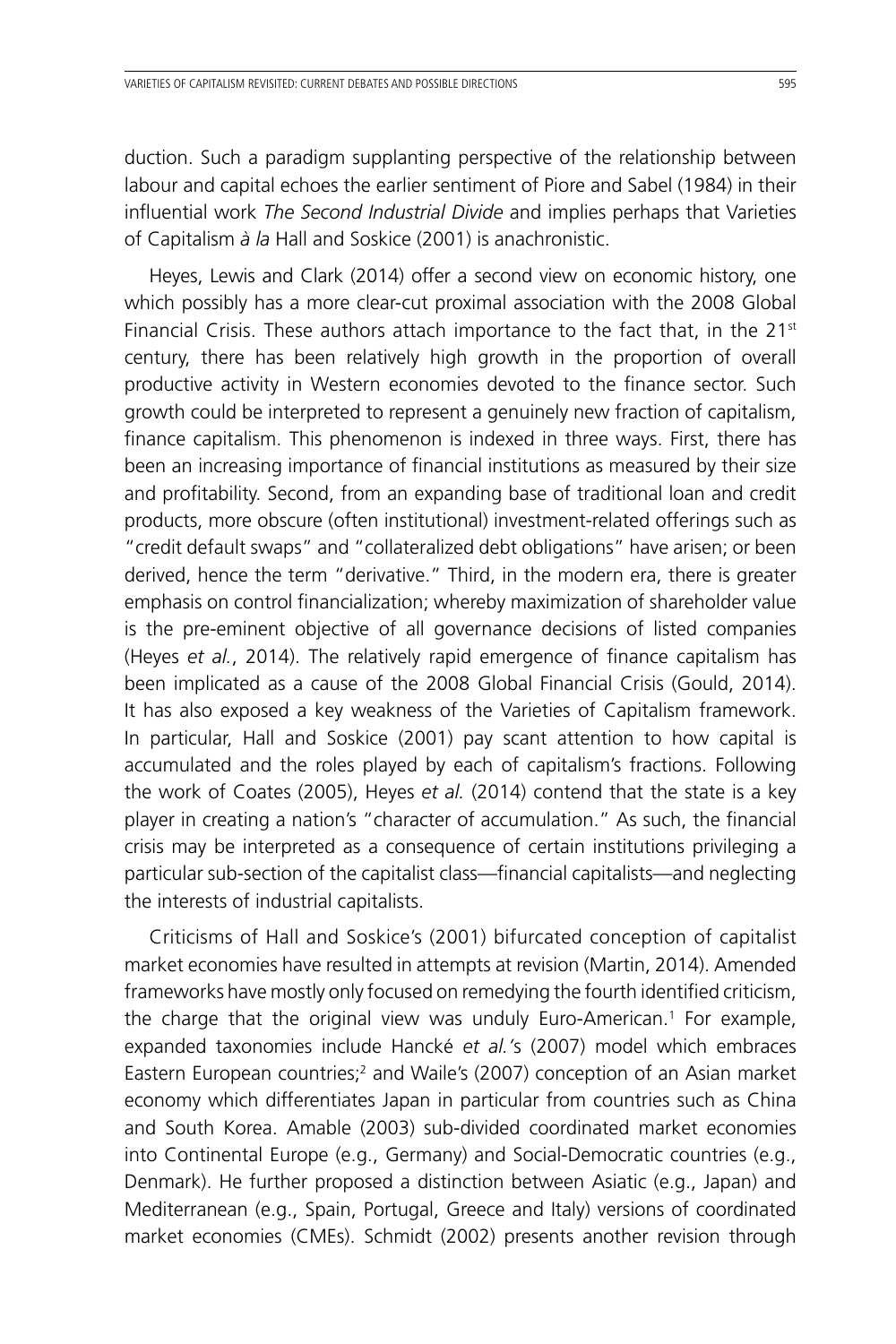duction. Such a paradigm supplanting perspective of the relationship between labour and capital echoes the earlier sentiment of Piore and Sabel (1984) in their influential work *The Second Industrial Divide* and implies perhaps that Varieties of Capitalism *à la* Hall and Soskice (2001) is anachronistic.

Heyes, Lewis and Clark (2014) offer a second view on economic history, one which possibly has a more clear-cut proximal association with the 2008 Global Financial Crisis. These authors attach importance to the fact that, in the  $21^{st}$ century, there has been relatively high growth in the proportion of overall productive activity in Western economies devoted to the finance sector. Such growth could be interpreted to represent a genuinely new fraction of capitalism, finance capitalism. This phenomenon is indexed in three ways. First, there has been an increasing importance of financial institutions as measured by their size and profitability. Second, from an expanding base of traditional loan and credit products, more obscure (often institutional) investment-related offerings such as "credit default swaps" and "collateralized debt obligations" have arisen; or been derived, hence the term "derivative." Third, in the modern era, there is greater emphasis on control financialization; whereby maximization of shareholder value is the pre-eminent objective of all governance decisions of listed companies (Heyes *et al.*, 2014). The relatively rapid emergence of finance capitalism has been implicated as a cause of the 2008 Global Financial Crisis (Gould, 2014). It has also exposed a key weakness of the Varieties of Capitalism framework. In particular, Hall and Soskice (2001) pay scant attention to how capital is accumulated and the roles played by each of capitalism's fractions. Following the work of Coates (2005), Heyes *et al.* (2014) contend that the state is a key player in creating a nation's "character of accumulation." As such, the financial crisis may be interpreted as a consequence of certain institutions privileging a particular sub-section of the capitalist class—financial capitalists—and neglecting the interests of industrial capitalists.

Criticisms of Hall and Soskice's (2001) bifurcated conception of capitalist market economies have resulted in attempts at revision (Martin, 2014). Amended frameworks have mostly only focused on remedying the fourth identified criticism, the charge that the original view was unduly Euro-American.<sup>1</sup> For example, expanded taxonomies include Hancké *et al.'*s (2007) model which embraces Eastern European countries;<sup>2</sup> and Waile's (2007) conception of an Asian market economy which differentiates Japan in particular from countries such as China and South Korea. Amable (2003) sub-divided coordinated market economies into Continental Europe (e.g., Germany) and Social-Democratic countries (e.g., Denmark). He further proposed a distinction between Asiatic (e.g., Japan) and Mediterranean (e.g., Spain, Portugal, Greece and Italy) versions of coordinated market economies (CMEs). Schmidt (2002) presents another revision through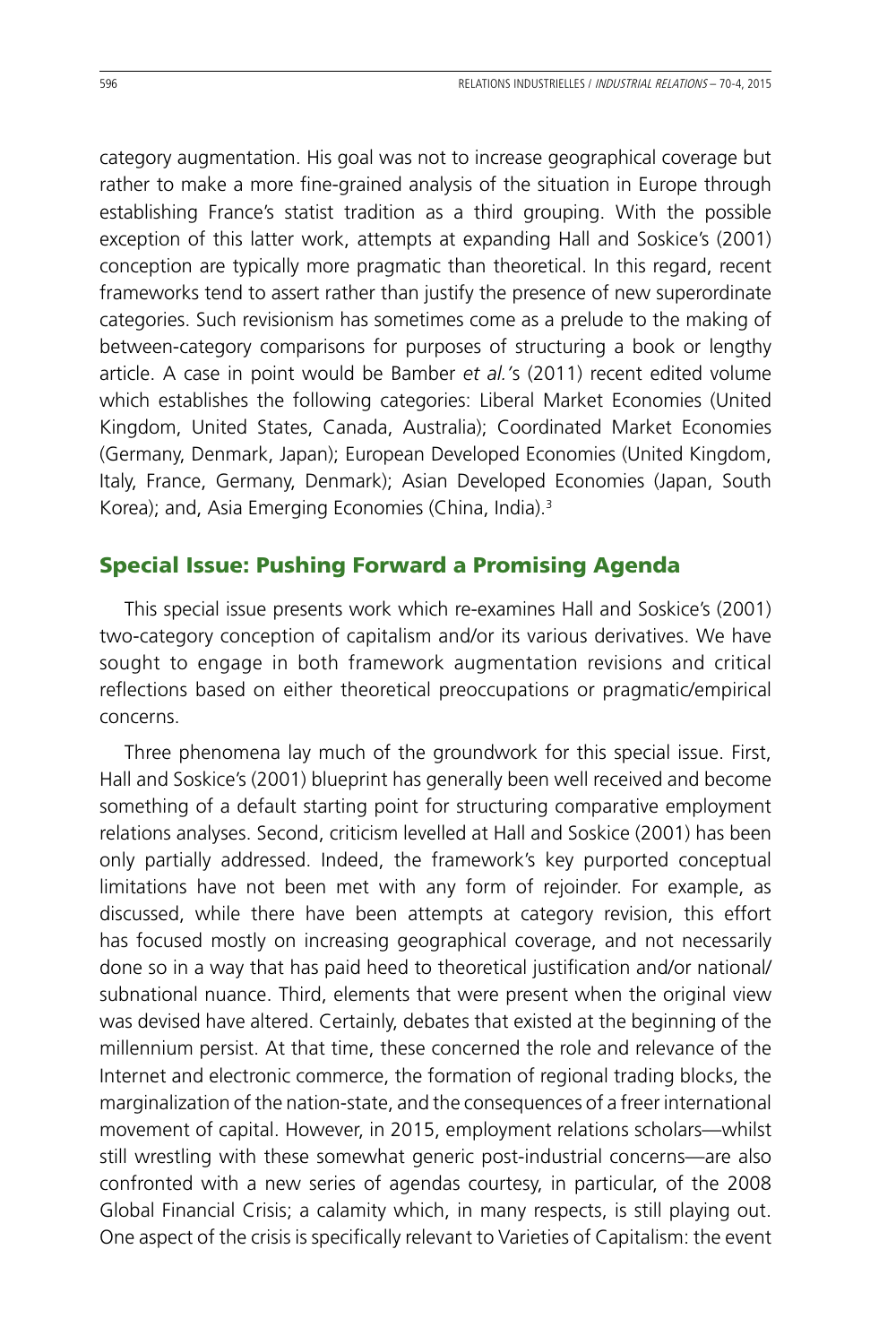category augmentation. His goal was not to increase geographical coverage but rather to make a more fine-grained analysis of the situation in Europe through establishing France's statist tradition as a third grouping. With the possible exception of this latter work, attempts at expanding Hall and Soskice's (2001) conception are typically more pragmatic than theoretical. In this regard, recent frameworks tend to assert rather than justify the presence of new superordinate categories. Such revisionism has sometimes come as a prelude to the making of between-category comparisons for purposes of structuring a book or lengthy article. A case in point would be Bamber *et al.'*s (2011) recent edited volume which establishes the following categories: Liberal Market Economies (United Kingdom, United States, Canada, Australia); Coordinated Market Economies (Germany, Denmark, Japan); European Developed Economies (United Kingdom, Italy, France, Germany, Denmark); Asian Developed Economies (Japan, South Korea); and, Asia Emerging Economies (China, India).<sup>3</sup>

### Special Issue: Pushing Forward a Promising Agenda

This special issue presents work which re-examines Hall and Soskice's (2001) two-category conception of capitalism and/or its various derivatives. We have sought to engage in both framework augmentation revisions and critical reflections based on either theoretical preoccupations or pragmatic/empirical concerns.

Three phenomena lay much of the groundwork for this special issue. First, Hall and Soskice's (2001) blueprint has generally been well received and become something of a default starting point for structuring comparative employment relations analyses. Second, criticism levelled at Hall and Soskice (2001) has been only partially addressed. Indeed, the framework's key purported conceptual limitations have not been met with any form of rejoinder. For example, as discussed, while there have been attempts at category revision, this effort has focused mostly on increasing geographical coverage, and not necessarily done so in a way that has paid heed to theoretical justification and/or national/ subnational nuance. Third, elements that were present when the original view was devised have altered. Certainly, debates that existed at the beginning of the millennium persist. At that time, these concerned the role and relevance of the Internet and electronic commerce, the formation of regional trading blocks, the marginalization of the nation-state, and the consequences of a freer international movement of capital. However, in 2015, employment relations scholars—whilst still wrestling with these somewhat generic post-industrial concerns—are also confronted with a new series of agendas courtesy, in particular, of the 2008 Global Financial Crisis; a calamity which, in many respects, is still playing out. One aspect of the crisis is specifically relevant to Varieties of Capitalism: the event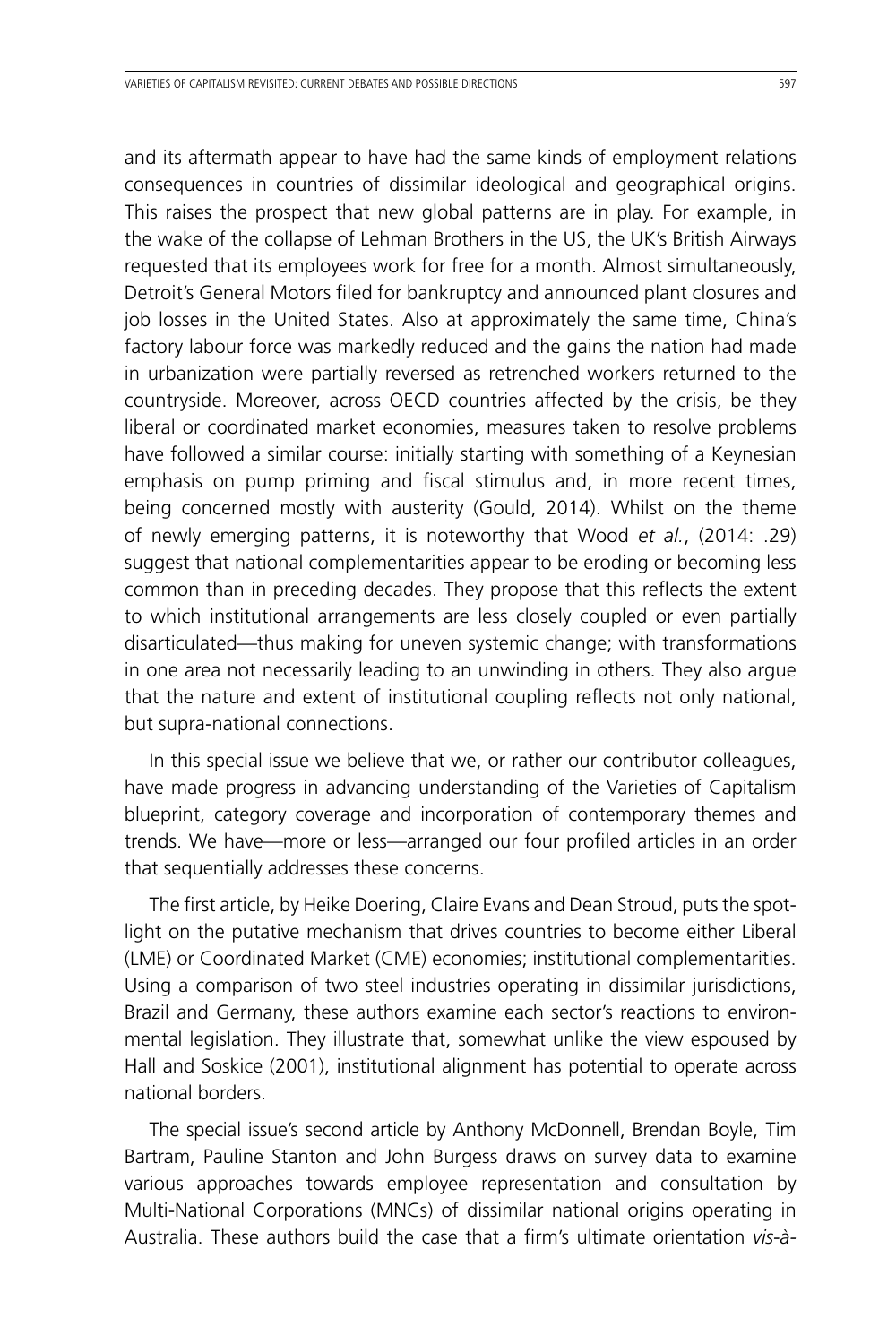and its aftermath appear to have had the same kinds of employment relations consequences in countries of dissimilar ideological and geographical origins. This raises the prospect that new global patterns are in play. For example, in the wake of the collapse of Lehman Brothers in the US, the UK's British Airways requested that its employees work for free for a month. Almost simultaneously, Detroit's General Motors filed for bankruptcy and announced plant closures and job losses in the United States. Also at approximately the same time, China's factory labour force was markedly reduced and the gains the nation had made in urbanization were partially reversed as retrenched workers returned to the countryside. Moreover, across OECD countries affected by the crisis, be they liberal or coordinated market economies, measures taken to resolve problems have followed a similar course: initially starting with something of a Keynesian emphasis on pump priming and fiscal stimulus and, in more recent times, being concerned mostly with austerity (Gould, 2014). Whilst on the theme of newly emerging patterns, it is noteworthy that Wood *et al.*, (2014: .29) suggest that national complementarities appear to be eroding or becoming less common than in preceding decades. They propose that this reflects the extent to which institutional arrangements are less closely coupled or even partially disarticulated—thus making for uneven systemic change; with transformations in one area not necessarily leading to an unwinding in others. They also argue that the nature and extent of institutional coupling reflects not only national, but supra-national connections.

In this special issue we believe that we, or rather our contributor colleagues, have made progress in advancing understanding of the Varieties of Capitalism blueprint, category coverage and incorporation of contemporary themes and trends. We have—more or less—arranged our four profiled articles in an order that sequentially addresses these concerns.

The first article, by Heike Doering, Claire Evans and Dean Stroud, puts the spotlight on the putative mechanism that drives countries to become either Liberal (LME) or Coordinated Market (CME) economies; institutional complementarities. Using a comparison of two steel industries operating in dissimilar jurisdictions, Brazil and Germany, these authors examine each sector's reactions to environmental legislation. They illustrate that, somewhat unlike the view espoused by Hall and Soskice (2001), institutional alignment has potential to operate across national borders.

The special issue's second article by Anthony McDonnell, Brendan Boyle, Tim Bartram, Pauline Stanton and John Burgess draws on survey data to examine various approaches towards employee representation and consultation by Multi-National Corporations (MNCs) of dissimilar national origins operating in Australia. These authors build the case that a firm's ultimate orientation *vis-à-*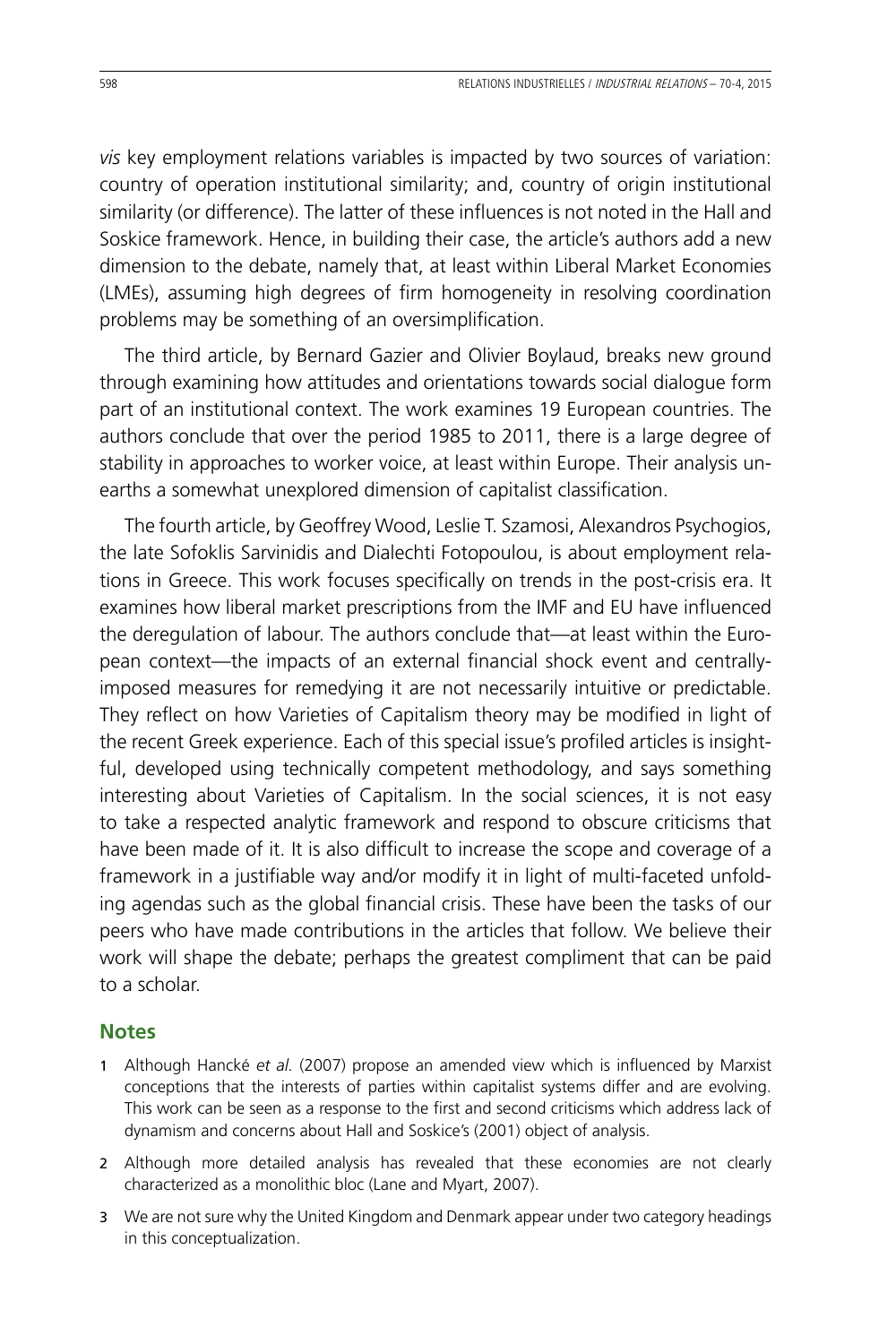*vis* key employment relations variables is impacted by two sources of variation: country of operation institutional similarity; and, country of origin institutional similarity (or difference). The latter of these influences is not noted in the Hall and Soskice framework. Hence, in building their case, the article's authors add a new dimension to the debate, namely that, at least within Liberal Market Economies (LMEs), assuming high degrees of firm homogeneity in resolving coordination problems may be something of an oversimplification.

The third article, by Bernard Gazier and Olivier Boylaud, breaks new ground through examining how attitudes and orientations towards social dialogue form part of an institutional context. The work examines 19 European countries. The authors conclude that over the period 1985 to 2011, there is a large degree of stability in approaches to worker voice, at least within Europe. Their analysis unearths a somewhat unexplored dimension of capitalist classification.

The fourth article, by Geoffrey Wood, Leslie T. Szamosi, Alexandros Psychogios, the late Sofoklis Sarvinidis and Dialechti Fotopoulou, is about employment relations in Greece. This work focuses specifically on trends in the post-crisis era. It examines how liberal market prescriptions from the IMF and EU have influenced the deregulation of labour. The authors conclude that—at least within the European context—the impacts of an external financial shock event and centrallyimposed measures for remedying it are not necessarily intuitive or predictable. They reflect on how Varieties of Capitalism theory may be modified in light of the recent Greek experience. Each of this special issue's profiled articles is insightful, developed using technically competent methodology, and says something interesting about Varieties of Capitalism. In the social sciences, it is not easy to take a respected analytic framework and respond to obscure criticisms that have been made of it. It is also difficult to increase the scope and coverage of a framework in a justifiable way and/or modify it in light of multi-faceted unfolding agendas such as the global financial crisis. These have been the tasks of our peers who have made contributions in the articles that follow. We believe their work will shape the debate; perhaps the greatest compliment that can be paid to a scholar.

### **Notes**

- 1 Although Hancké *et al.* (2007) propose an amended view which is influenced by Marxist conceptions that the interests of parties within capitalist systems differ and are evolving. This work can be seen as a response to the first and second criticisms which address lack of dynamism and concerns about Hall and Soskice's (2001) object of analysis.
- 2 Although more detailed analysis has revealed that these economies are not clearly characterized as a monolithic bloc (Lane and Myart, 2007).
- 3 We are not sure why the United Kingdom and Denmark appear under two category headings in this conceptualization.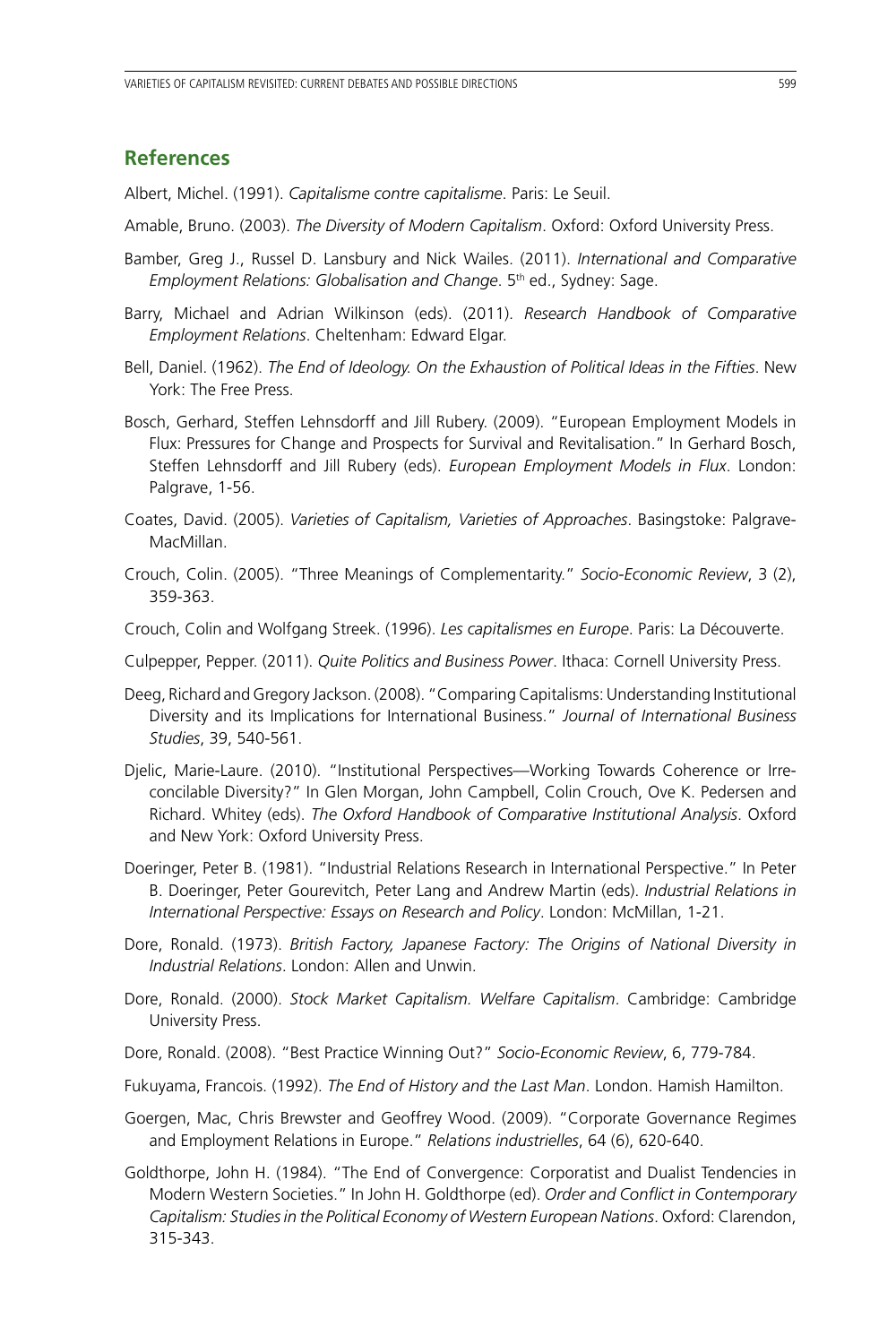#### **References**

Albert, Michel. (1991). *Capitalisme contre capitalisme*. Paris: Le Seuil.

- Amable, Bruno. (2003). *The Diversity of Modern Capitalism*. Oxford: Oxford University Press.
- Bamber, Greg J., Russel D. Lansbury and Nick Wailes. (2011). *International and Comparative Employment Relations: Globalisation and Change*. 5<sup>th</sup> ed., Sydney: Sage.
- Barry, Michael and Adrian Wilkinson (eds). (2011). *Research Handbook of Comparative Employment Relations*. Cheltenham: Edward Elgar.
- Bell, Daniel. (1962). *The End of Ideology. On the Exhaustion of Political Ideas in the Fifties*. New York: The Free Press.
- Bosch, Gerhard, Steffen Lehnsdorff and Jill Rubery. (2009). "European Employment Models in Flux: Pressures for Change and Prospects for Survival and Revitalisation." In Gerhard Bosch, Steffen Lehnsdorff and Jill Rubery (eds). *European Employment Models in Flux*. London: Palgrave, 1-56.
- Coates, David. (2005). *Varieties of Capitalism, Varieties of Approaches*. Basingstoke: Palgrave-MacMillan.
- Crouch, Colin. (2005). "Three Meanings of Complementarity." *Socio-Economic Review*, 3 (2), 359-363.
- Crouch, Colin and Wolfgang Streek. (1996). *Les capitalismes en Europe*. Paris: La Découverte.
- Culpepper, Pepper. (2011). *Quite Politics and Business Power*. Ithaca: Cornell University Press.
- Deeg, Richard and Gregory Jackson. (2008). "Comparing Capitalisms: Understanding Institutional Diversity and its Implications for International Business." *Journal of International Business Studies*, 39, 540-561.
- Djelic, Marie-Laure. (2010). "Institutional Perspectives—Working Towards Coherence or Irreconcilable Diversity?" In Glen Morgan, John Campbell, Colin Crouch, Ove K. Pedersen and Richard. Whitey (eds). *The Oxford Handbook of Comparative Institutional Analysis*. Oxford and New York: Oxford University Press.
- Doeringer, Peter B. (1981). "Industrial Relations Research in International Perspective." In Peter B. Doeringer, Peter Gourevitch, Peter Lang and Andrew Martin (eds). *Industrial Relations in International Perspective: Essays on Research and Policy*. London: McMillan, 1-21.
- Dore, Ronald. (1973). *British Factory, Japanese Factory: The Origins of National Diversity in Industrial Relations*. London: Allen and Unwin.
- Dore, Ronald. (2000). *Stock Market Capitalism. Welfare Capitalism*. Cambridge: Cambridge University Press.
- Dore, Ronald. (2008). "Best Practice Winning Out?" *Socio-Economic Review*, 6, 779-784.
- Fukuyama, Francois. (1992). *The End of History and the Last Man*. London. Hamish Hamilton.
- Goergen, Mac, Chris Brewster and Geoffrey Wood. (2009). "Corporate Governance Regimes and Employment Relations in Europe." *Relations industrielles*, 64 (6), 620-640.
- Goldthorpe, John H. (1984). "The End of Convergence: Corporatist and Dualist Tendencies in Modern Western Societies." In John H. Goldthorpe (ed). *Order and Conflict in Contemporary Capitalism: Studies in the Political Economy of Western European Nations*. Oxford: Clarendon, 315-343.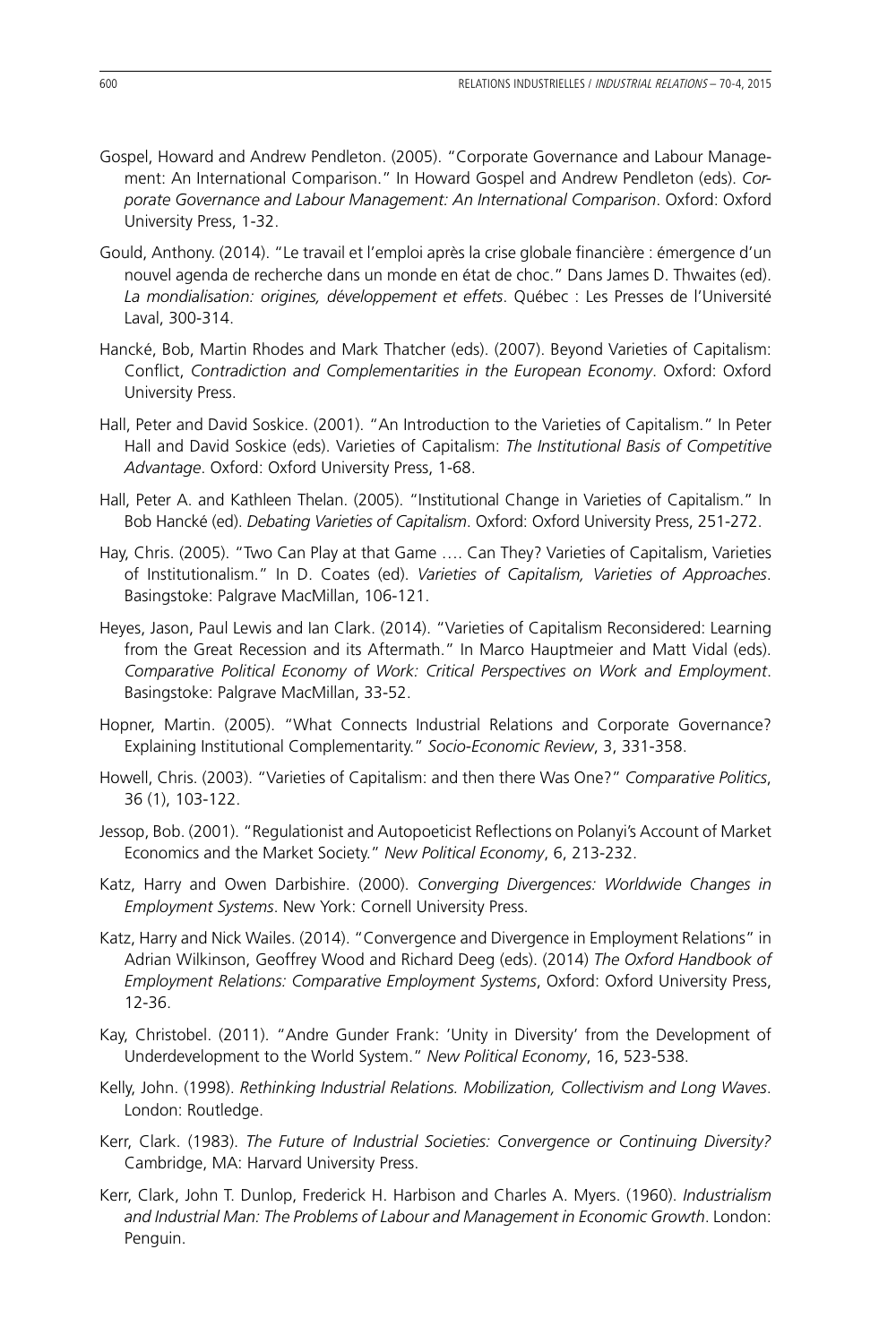- Gospel, Howard and Andrew Pendleton. (2005). "Corporate Governance and Labour Management: An International Comparison." In Howard Gospel and Andrew Pendleton (eds). *Corporate Governance and Labour Management: An International Comparison*. Oxford: Oxford University Press, 1-32.
- Gould, Anthony. (2014). "Le travail et l'emploi après la crise globale financière : émergence d'un nouvel agenda de recherche dans un monde en état de choc." Dans James D. Thwaites (ed). *La mondialisation: origines, développement et effets*. Québec : Les Presses de l'Université Laval, 300-314.
- Hancké, Bob, Martin Rhodes and Mark Thatcher (eds). (2007). Beyond Varieties of Capitalism: Conflict, *Contradiction and Complementarities in the European Economy*. Oxford: Oxford University Press.
- Hall, Peter and David Soskice. (2001). "An Introduction to the Varieties of Capitalism." In Peter Hall and David Soskice (eds). Varieties of Capitalism: *The Institutional Basis of Competitive Advantage*. Oxford: Oxford University Press, 1-68.
- Hall, Peter A. and Kathleen Thelan. (2005). "Institutional Change in Varieties of Capitalism." In Bob Hancké (ed). *Debating Varieties of Capitalism*. Oxford: Oxford University Press, 251-272.
- Hay, Chris. (2005). "Two Can Play at that Game …. Can They? Varieties of Capitalism, Varieties of Institutionalism." In D. Coates (ed). *Varieties of Capitalism, Varieties of Approaches*. Basingstoke: Palgrave MacMillan, 106-121.
- Heyes, Jason, Paul Lewis and Ian Clark. (2014). "Varieties of Capitalism Reconsidered: Learning from the Great Recession and its Aftermath." In Marco Hauptmeier and Matt Vidal (eds). *Comparative Political Economy of Work: Critical Perspectives on Work and Employment*. Basingstoke: Palgrave MacMillan, 33-52.
- Hopner, Martin. (2005). "What Connects Industrial Relations and Corporate Governance? Explaining Institutional Complementarity." *Socio-Economic Review*, 3, 331-358.
- Howell, Chris. (2003). "Varieties of Capitalism: and then there Was One?" *Comparative Politics*, 36 (1), 103-122.
- Jessop, Bob. (2001). "Regulationist and Autopoeticist Reflections on Polanyi's Account of Market Economics and the Market Society." *New Political Economy*, 6, 213-232.
- Katz, Harry and Owen Darbishire. (2000). *Converging Divergences: Worldwide Changes in Employment Systems*. New York: Cornell University Press.
- Katz, Harry and Nick Wailes. (2014). "Convergence and Divergence in Employment Relations" in Adrian Wilkinson, Geoffrey Wood and Richard Deeg (eds). (2014) *The Oxford Handbook of Employment Relations: Comparative Employment Systems*, Oxford: Oxford University Press, 12-36.
- Kay, Christobel. (2011). "Andre Gunder Frank: 'Unity in Diversity' from the Development of Underdevelopment to the World System." *New Political Economy*, 16, 523-538.
- Kelly, John. (1998). *Rethinking Industrial Relations. Mobilization, Collectivism and Long Waves*. London: Routledge.
- Kerr, Clark. (1983). *The Future of Industrial Societies: Convergence or Continuing Diversity?* Cambridge, MA: Harvard University Press.
- Kerr, Clark, John T. Dunlop, Frederick H. Harbison and Charles A. Myers. (1960). *Industrialism and Industrial Man: The Problems of Labour and Management in Economic Growth*. London: Penguin.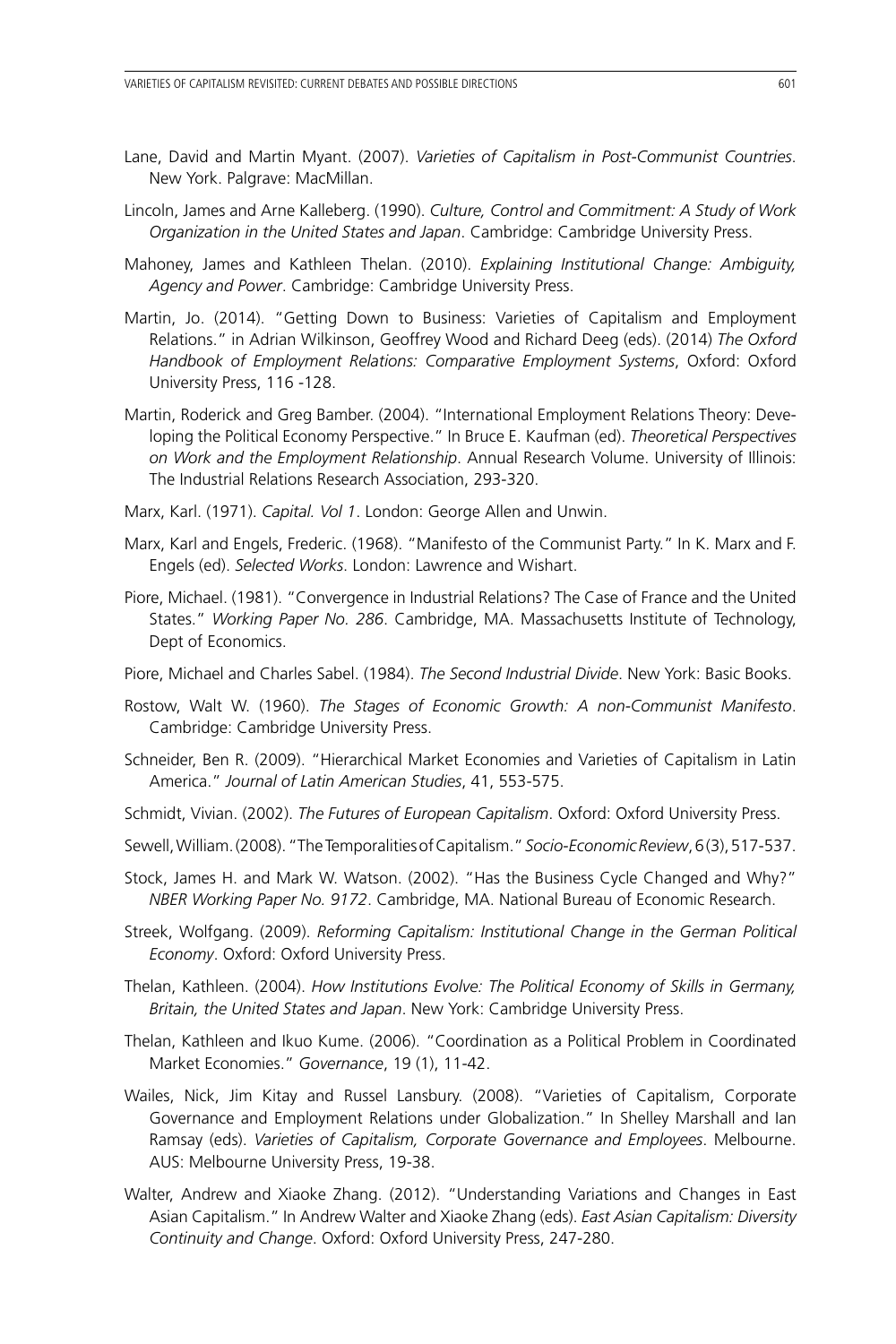- Lane, David and Martin Myant. (2007). *Varieties of Capitalism in Post-Communist Countries*. New York. Palgrave: MacMillan.
- Lincoln, James and Arne Kalleberg. (1990). *Culture, Control and Commitment: A Study of Work Organization in the United States and Japan*. Cambridge: Cambridge University Press.
- Mahoney, James and Kathleen Thelan. (2010). *Explaining Institutional Change: Ambiguity, Agency and Power*. Cambridge: Cambridge University Press.
- Martin, Jo. (2014). "Getting Down to Business: Varieties of Capitalism and Employment Relations." in Adrian Wilkinson, Geoffrey Wood and Richard Deeg (eds). (2014) *The Oxford Handbook of Employment Relations: Comparative Employment Systems*, Oxford: Oxford University Press, 116 -128.
- Martin, Roderick and Greg Bamber. (2004). "International Employment Relations Theory: Developing the Political Economy Perspective." In Bruce E. Kaufman (ed). *Theoretical Perspectives on Work and the Employment Relationship*. Annual Research Volume. University of Illinois: The Industrial Relations Research Association, 293-320.
- Marx, Karl. (1971). *Capital. Vol 1*. London: George Allen and Unwin.
- Marx, Karl and Engels, Frederic. (1968). "Manifesto of the Communist Party." In K. Marx and F. Engels (ed). *Selected Works*. London: Lawrence and Wishart.
- Piore, Michael. (1981). "Convergence in Industrial Relations? The Case of France and the United States." *Working Paper No. 286*. Cambridge, MA. Massachusetts Institute of Technology, Dept of Economics.
- Piore, Michael and Charles Sabel. (1984). *The Second Industrial Divide*. New York: Basic Books.
- Rostow, Walt W. (1960). *The Stages of Economic Growth: A non-Communist Manifesto*. Cambridge: Cambridge University Press.
- Schneider, Ben R. (2009). "Hierarchical Market Economies and Varieties of Capitalism in Latin America." *Journal of Latin American Studies*, 41, 553-575.
- Schmidt, Vivian. (2002). *The Futures of European Capitalism*. Oxford: Oxford University Press.
- Sewell, William. (2008). "The Temporalities of Capitalism." *Socio-Economic Review*, 6 (3), 517-537.
- Stock, James H. and Mark W. Watson. (2002). "Has the Business Cycle Changed and Why?" *NBER Working Paper No. 9172*. Cambridge, MA. National Bureau of Economic Research.
- Streek, Wolfgang. (2009). *Reforming Capitalism: Institutional Change in the German Political Economy*. Oxford: Oxford University Press.
- Thelan, Kathleen. (2004). *How Institutions Evolve: The Political Economy of Skills in Germany, Britain, the United States and Japan*. New York: Cambridge University Press.
- Thelan, Kathleen and Ikuo Kume. (2006). "Coordination as a Political Problem in Coordinated Market Economies." *Governance*, 19 (1), 11-42.
- Wailes, Nick, Jim Kitay and Russel Lansbury. (2008). "Varieties of Capitalism, Corporate Governance and Employment Relations under Globalization." In Shelley Marshall and Ian Ramsay (eds). *Varieties of Capitalism, Corporate Governance and Employees*. Melbourne. AUS: Melbourne University Press, 19-38.
- Walter, Andrew and Xiaoke Zhang. (2012). "Understanding Variations and Changes in East Asian Capitalism." In Andrew Walter and Xiaoke Zhang (eds). *East Asian Capitalism: Diversity Continuity and Change*. Oxford: Oxford University Press, 247-280.